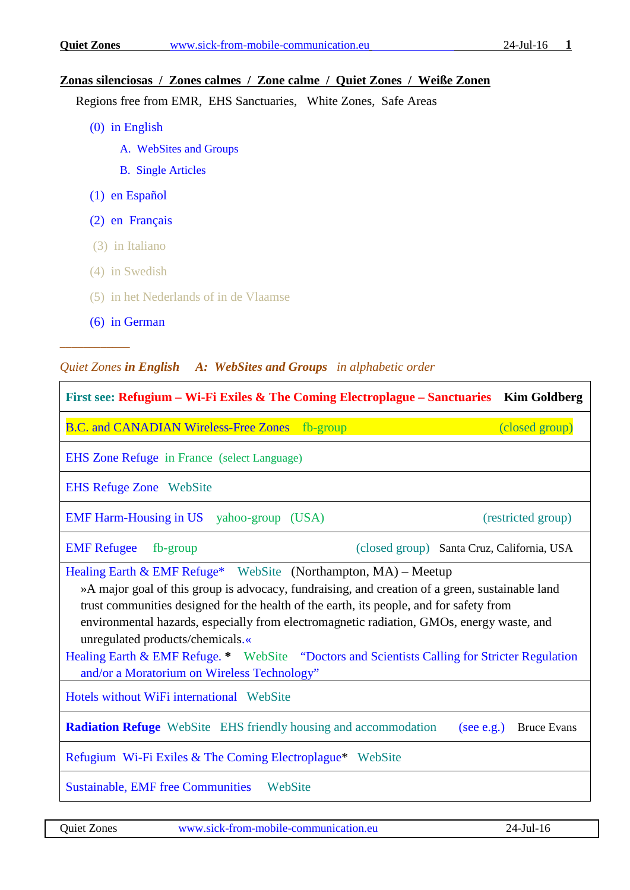## **Zonas silenciosas / Zones calmes / Zone calme / Quiet Zones / Weiße Zonen**

Regions free from EMR, EHS Sanctuaries, White Zones, Safe Areas

- (0) in English
	- [A. WebSites and Groups](#page-0-0)
	- [B. Single Articles](#page-1-0)
- [\(1\) en Español](#page-3-0)
- [\(2\) en Français](#page-3-1)
- (3) in Italiano
- (4) in Swedish
- (5) in het Nederlands of in de Vlaamse
- [\(6\) in German](#page-4-0)

*––––––––––––*

## <span id="page-0-0"></span>*Quiet Zones in English A: WebSites and Groups in alphabetic order*

| First see: Refugium – Wi-Fi Exiles & The Coming Electroplague – Sanctuaries Kim Goldberg                                                                                                                                                                                                                                                                                                                                                                                                                                                      |  |  |  |
|-----------------------------------------------------------------------------------------------------------------------------------------------------------------------------------------------------------------------------------------------------------------------------------------------------------------------------------------------------------------------------------------------------------------------------------------------------------------------------------------------------------------------------------------------|--|--|--|
| B.C. and CANADIAN Wireless-Free Zones fb-group<br>(closed group)                                                                                                                                                                                                                                                                                                                                                                                                                                                                              |  |  |  |
| <b>EHS Zone Refuge in France (select Language)</b>                                                                                                                                                                                                                                                                                                                                                                                                                                                                                            |  |  |  |
| <b>EHS Refuge Zone</b> WebSite                                                                                                                                                                                                                                                                                                                                                                                                                                                                                                                |  |  |  |
| EMF Harm-Housing in US yahoo-group (USA)<br>(restricted group)                                                                                                                                                                                                                                                                                                                                                                                                                                                                                |  |  |  |
| <b>EMF</b> Refugee<br>fb-group<br>(closed group) Santa Cruz, California, USA                                                                                                                                                                                                                                                                                                                                                                                                                                                                  |  |  |  |
| Healing Earth & EMF Refuge* WebSite (Northampton, MA) - Meetup<br>»A major goal of this group is advocacy, fundraising, and creation of a green, sustainable land<br>trust communities designed for the health of the earth, its people, and for safety from<br>environmental hazards, especially from electromagnetic radiation, GMOs, energy waste, and<br>unregulated products/chemicals.«<br>Healing Earth & EMF Refuge. * WebSite "Doctors and Scientists Calling for Stricter Regulation<br>and/or a Moratorium on Wireless Technology" |  |  |  |
| Hotels without WiFi international WebSite                                                                                                                                                                                                                                                                                                                                                                                                                                                                                                     |  |  |  |
| <b>Radiation Refuge</b> WebSite EHS friendly housing and accommodation<br>(see e.g.) Bruce Evans                                                                                                                                                                                                                                                                                                                                                                                                                                              |  |  |  |
| Refugium Wi-Fi Exiles & The Coming Electroplague* WebSite                                                                                                                                                                                                                                                                                                                                                                                                                                                                                     |  |  |  |
| Sustainable, EMF free Communities WebSite                                                                                                                                                                                                                                                                                                                                                                                                                                                                                                     |  |  |  |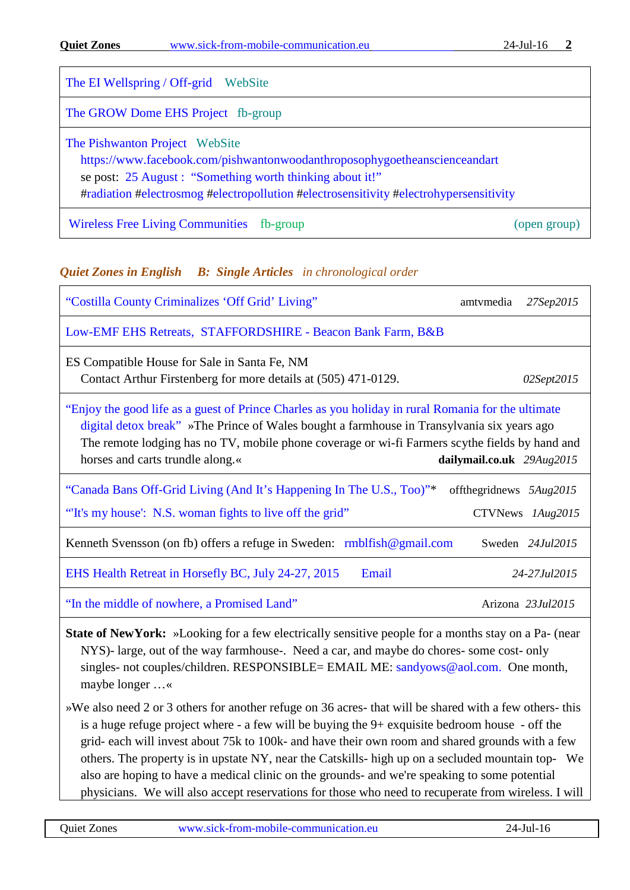| <b>Quiet Zones</b><br>www.sick-from-mobile-communication.eu | $24$ -Jul-16 |
|-------------------------------------------------------------|--------------|
|-------------------------------------------------------------|--------------|

| The EI Wellspring / Off-grid WebSite                                                                                                                                                                                                                               |
|--------------------------------------------------------------------------------------------------------------------------------------------------------------------------------------------------------------------------------------------------------------------|
| The GROW Dome EHS Project fb-group                                                                                                                                                                                                                                 |
| The Pishwanton Project WebSite<br>https://www.facebook.com/pishwantonwoodanthroposophygoetheanscienceandart<br>se post: 25 August : "Something worth thinking about it!"<br>#radiation #electrosmog #electropollution #electrosensitivity #electrohypersensitivity |

[Wireless Free Living Communities](https://www.facebook.com/groups/571481532909496/) fb-group (open group) (open group)

## <span id="page-1-0"></span>*Quiet Zones in English B: Single Articles in chronological order*

| "Costilla County Criminalizes 'Off Grid' Living"                                                                                                                                                                                                                                                                                                                      | amtymedia      | 27Sep2015                    |
|-----------------------------------------------------------------------------------------------------------------------------------------------------------------------------------------------------------------------------------------------------------------------------------------------------------------------------------------------------------------------|----------------|------------------------------|
| Low-EMF EHS Retreats, STAFFORDSHIRE - Beacon Bank Farm, B&B                                                                                                                                                                                                                                                                                                           |                |                              |
| ES Compatible House for Sale in Santa Fe, NM<br>Contact Arthur Firstenberg for more details at (505) 471-0129.                                                                                                                                                                                                                                                        |                | 02Sept2015                   |
| "Enjoy the good life as a guest of Prince Charles as you holiday in rural Romania for the ultimate<br>digital detox break" »The Prince of Wales bought a farmhouse in Transylvania six years ago<br>The remote lodging has no TV, mobile phone coverage or wi-fi Farmers scythe fields by hand and<br>horses and carts trundle along.«<br>dailymail.co.uk $29Aug2015$ |                |                              |
| "Canada Bans Off-Grid Living (And It's Happening In The U.S., Too)"*<br>"It's my house': N.S. woman fights to live off the grid"                                                                                                                                                                                                                                      | offthegridnews | 5Aug2015<br>CTVNews 1Aug2015 |
| Kenneth Svensson (on fb) offers a refuge in Sweden: rmblfish@gmail.com                                                                                                                                                                                                                                                                                                |                | Sweden 24Jul2015             |
| EHS Health Retreat in Horsefly BC, July 24-27, 2015<br>Email                                                                                                                                                                                                                                                                                                          |                | 24-27.Jul2015                |
| "In the middle of nowhere, a Promised Land"                                                                                                                                                                                                                                                                                                                           |                | Arizona $23.1 \mu 12015$     |

**State of NewYork:** »Looking for a few electrically sensitive people for a months stay on a Pa- (near NYS)- large, out of the way farmhouse-. Need a car, and maybe do chores- some cost- only singles- not couples/children. RESPONSIBLE= EMAIL ME: [sandyows@aol.com.](mailto:sandyows@aol.com) One month, maybe longer …«

»We also need 2 or 3 others for another refuge on 36 acres- that will be shared with a few others- this is a huge refuge project where - a few will be buying the 9+ exquisite bedroom house - off the grid- each will invest about 75k to 100k- and have their own room and shared grounds with a few others. The property is in upstate NY, near the Catskills- high up on a secluded mountain top- We also are hoping to have a medical clinic on the grounds- and we're speaking to some potential physicians. We will also accept reservations for those who need to recuperate from wireless. I will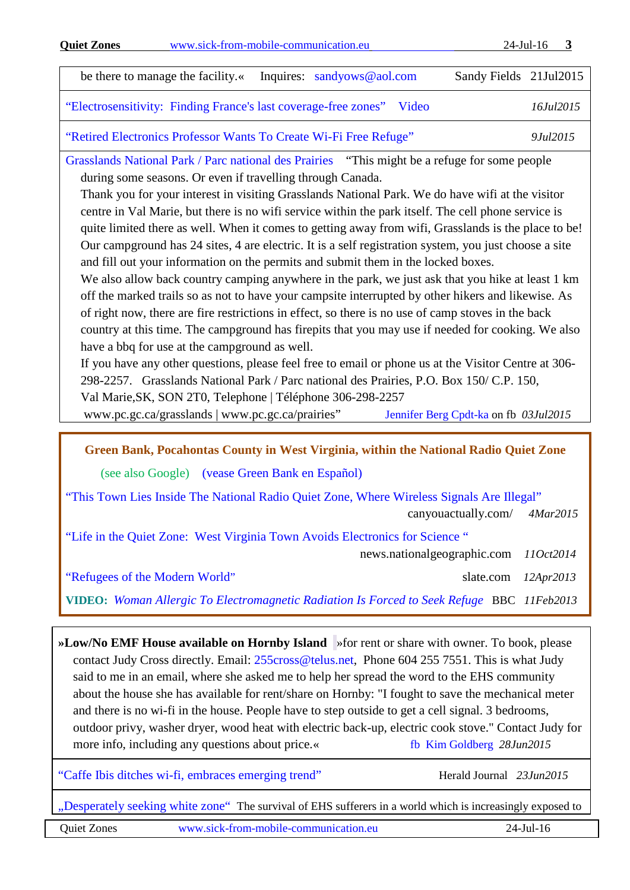| www.sick-from-mobile-communication.eu<br><b>Quiet Zones</b>                                                                                                                                                                                                                                                                                                                                                                                                                                                                                                                                                                                                                                                                                                                                                                                                                                                                                                                                                                                                                                                                                                                                                                                                                                                                                                                                                                                                                                                       | $24$ -Jul-16<br>$\overline{\mathbf{3}}$ |
|-------------------------------------------------------------------------------------------------------------------------------------------------------------------------------------------------------------------------------------------------------------------------------------------------------------------------------------------------------------------------------------------------------------------------------------------------------------------------------------------------------------------------------------------------------------------------------------------------------------------------------------------------------------------------------------------------------------------------------------------------------------------------------------------------------------------------------------------------------------------------------------------------------------------------------------------------------------------------------------------------------------------------------------------------------------------------------------------------------------------------------------------------------------------------------------------------------------------------------------------------------------------------------------------------------------------------------------------------------------------------------------------------------------------------------------------------------------------------------------------------------------------|-----------------------------------------|
| Inquires: sandyows@aol.com<br>be there to manage the facility.«                                                                                                                                                                                                                                                                                                                                                                                                                                                                                                                                                                                                                                                                                                                                                                                                                                                                                                                                                                                                                                                                                                                                                                                                                                                                                                                                                                                                                                                   | Sandy Fields 21Jul2015                  |
| "Electrosensitivity: Finding France's last coverage-free zones"<br>Video                                                                                                                                                                                                                                                                                                                                                                                                                                                                                                                                                                                                                                                                                                                                                                                                                                                                                                                                                                                                                                                                                                                                                                                                                                                                                                                                                                                                                                          | 16Jul2015                               |
| "Retired Electronics Professor Wants To Create Wi-Fi Free Refuge"                                                                                                                                                                                                                                                                                                                                                                                                                                                                                                                                                                                                                                                                                                                                                                                                                                                                                                                                                                                                                                                                                                                                                                                                                                                                                                                                                                                                                                                 | 9Jul2015                                |
| Grasslands National Park / Parc national des Prairies "This might be a refuge for some people<br>during some seasons. Or even if travelling through Canada.<br>Thank you for your interest in visiting Grasslands National Park. We do have wifi at the visitor<br>centre in Val Marie, but there is no wifi service within the park itself. The cell phone service is<br>quite limited there as well. When it comes to getting away from wifi, Grasslands is the place to be!<br>Our campground has 24 sites, 4 are electric. It is a self registration system, you just choose a site<br>and fill out your information on the permits and submit them in the locked boxes.<br>We also allow back country camping anywhere in the park, we just ask that you hike at least 1 km<br>off the marked trails so as not to have your campsite interrupted by other hikers and likewise. As<br>of right now, there are fire restrictions in effect, so there is no use of camp stoves in the back<br>country at this time. The campground has firepits that you may use if needed for cooking. We also<br>have a bbq for use at the campground as well.<br>If you have any other questions, please feel free to email or phone us at the Visitor Centre at 306-<br>298-2257. Grasslands National Park / Parc national des Prairies, P.O. Box 150/ C.P. 150,<br>Val Marie, SK, SON 2T0, Telephone   Téléphone 306-298-2257<br>www.pc.gc.ca/grasslands   www.pc.gc.ca/prairies"<br>Jennifer Berg Cpdt-ka on fb 03Jul2015 |                                         |
| Green Bank, Pocahontas County in West Virginia, within the National Radio Quiet Zone                                                                                                                                                                                                                                                                                                                                                                                                                                                                                                                                                                                                                                                                                                                                                                                                                                                                                                                                                                                                                                                                                                                                                                                                                                                                                                                                                                                                                              |                                         |
| (see also Google) (vease Green Bank en Español)                                                                                                                                                                                                                                                                                                                                                                                                                                                                                                                                                                                                                                                                                                                                                                                                                                                                                                                                                                                                                                                                                                                                                                                                                                                                                                                                                                                                                                                                   |                                         |
| "This Town Lies Inside The National Radio Quiet Zone, Where Wireless Signals Are Illegal"<br>canyouactually.com/                                                                                                                                                                                                                                                                                                                                                                                                                                                                                                                                                                                                                                                                                                                                                                                                                                                                                                                                                                                                                                                                                                                                                                                                                                                                                                                                                                                                  | 4Mar2015                                |
| "Life in the Quiet Zone: West Virginia Town Avoids Electronics for Science"<br>news.nationalgeographic.com                                                                                                                                                                                                                                                                                                                                                                                                                                                                                                                                                                                                                                                                                                                                                                                                                                                                                                                                                                                                                                                                                                                                                                                                                                                                                                                                                                                                        | 11Oct2014                               |
| "Refugees of the Modern World"<br>slate.com                                                                                                                                                                                                                                                                                                                                                                                                                                                                                                                                                                                                                                                                                                                                                                                                                                                                                                                                                                                                                                                                                                                                                                                                                                                                                                                                                                                                                                                                       | 12Apr2013                               |
| VIDEO: Woman Allergic To Electromagnetic Radiation Is Forced to Seek Refuge BBC 11Feb2013                                                                                                                                                                                                                                                                                                                                                                                                                                                                                                                                                                                                                                                                                                                                                                                                                                                                                                                                                                                                                                                                                                                                                                                                                                                                                                                                                                                                                         |                                         |

<span id="page-2-0"></span>**»Low/No EMF House available on Hornby Island** »for rent or share with owner. To book, please contact Judy Cross directly. Email: [255cross@telus.net,](mailto:255cross@telus.net) Phone 604 255 7551. This is what Judy said to me in an email, where she asked me to help her spread the word to the EHS community about the house she has available for rent/share on Hornby: "I fought to save the mechanical meter and there is no wi-fi in the house. People have to step outside to get a cell signal. 3 bedrooms, outdoor privy, washer dryer, wood heat with electric back-up, electric cook stove." Contact Judy for more info, including any questions about price.« [fb Kim Goldberg](https://www.facebook.com/kim.goldberg.71?fref=ts) 28Jun2015

["Caffe Ibis ditches wi-fi, embraces emerging trend"](http://news.hjnews.com/allaccess/caffe-ibis-ditches-wi-fi-embraces-emerging-trend/article_87f3ce84-2f40-5c89-9399-a6a641c66c5e.html) Herald Journal 23Jun2015

..Desperately seeking white zone" The survival of EHS sufferers in a world which is increasingly exposed to

Quiet Zones [www.sick-from-mobile-communication.eu](http://www.sick-from-mobile-communication.eu/) 24-Jul-16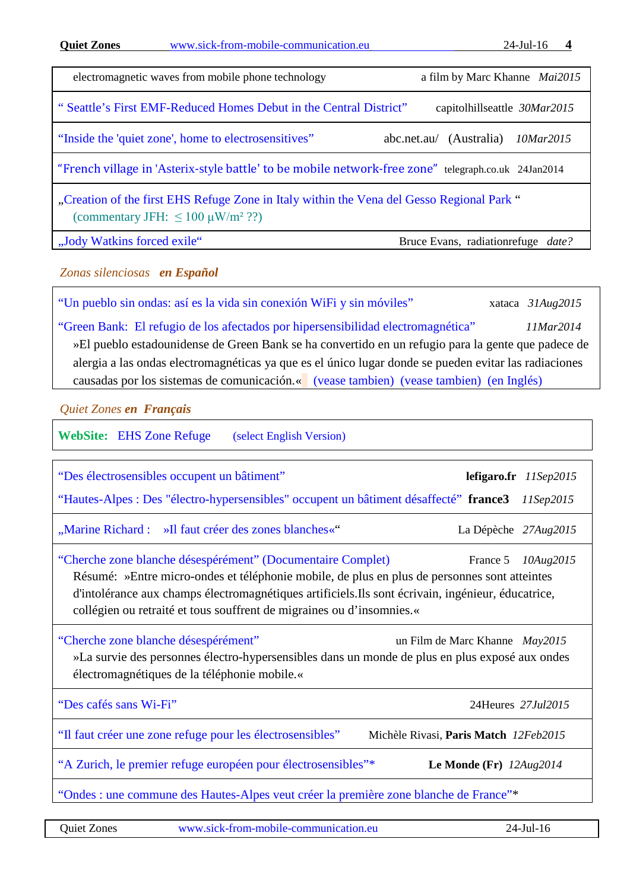| www.sick-from-mobile-communication.eu<br><b>Quiet Zones</b>                                                                           | $24$ -Jul-16                               |  |
|---------------------------------------------------------------------------------------------------------------------------------------|--------------------------------------------|--|
| electromagnetic waves from mobile phone technology                                                                                    | a film by Marc Khanne Mai2015              |  |
| "Seattle's First EMF-Reduced Homes Debut in the Central District"                                                                     | capitolhillseattle 30Mar2015               |  |
| "Inside the 'quiet zone', home to electrosensitives"                                                                                  | (Australia)<br>10Mar2015<br>abc.net.au/    |  |
| "French village in 'Asterix-style battle' to be mobile network-free zone" telegraph.co.uk 24Jan2014                                   |                                            |  |
| "Creation of the first EHS Refuge Zone in Italy within the Vena del Gesso Regional Park"<br>(commentary JFH: $\leq 100 \mu W/m^2$ ??) |                                            |  |
| "Jody Watkins forced exile"                                                                                                           | Bruce Evans, radiation refuge <i>date?</i> |  |

<span id="page-3-0"></span>*Zonas silenciosas en Español*

["Un pueblo sin ondas: así es la vida sin conexión WiFi y sin móviles"](http://m.xataka.com/medicina-y-salud/un-pueblo-sin-ondas-asi-es-la-vida-sin-conexion-wifi-y-sin-moviles) xataca 31Aug2015

<span id="page-3-2"></span>"Green Bank: [El refugio de los afectados por hipersensibilidad electromagnética"](http://actualidad.rt.com/sociedad/view/122095-eeuu-refugiar-senales-electromagneticas) *11Mar2014* »El pueblo estadounidense de Green Bank se ha convertido en un refugio para la gente que padece de alergia a las ondas electromagnéticas ya que es el único lugar donde se pueden evitar las radiaciones causadas por los sistemas de comunicación.« [\(vease tambien\)](http://www.wavesguard.es/blog/blog/west-virginia-refugio-de-afectados-por-hipersensibilidad-electromagnetica/) [\(vease tambien\)](http://programacontactoconlacreacion.blogspot.com.es/2014/03/un-paraiso-sin-ondas-electromagneticas.html) [\(en Inglés\)](#page-2-0)

<span id="page-3-1"></span>*Quiet Zones en Français*

**WebSite:** [EHS Zone Refuge](http://www.next-up.org/Newsoftheworld/EHS_Zone_Refuge.php) [\(select English Version\)](http://www.next-up.org/Newsoftheworld/EHS_Refuge_Zone.php#1)

| "Des électrosensibles occupent un bâtiment"<br>"Hautes-Alpes : Des "électro-hypersensibles" occupent un bâtiment désaffecté" france3 11Sep2015                                                                                                                                                                                                                      |                                | lefigaro.fr $11$ Sep2015 |  |
|---------------------------------------------------------------------------------------------------------------------------------------------------------------------------------------------------------------------------------------------------------------------------------------------------------------------------------------------------------------------|--------------------------------|--------------------------|--|
| "Marine Richard: »Il faut créer des zones blanches«"                                                                                                                                                                                                                                                                                                                | La Dépèche 27Aug2015           |                          |  |
| "Cherche zone blanche désespérément" (Documentaire Complet)<br>10Aug2015<br>France 5<br>Résumé: »Entre micro-ondes et téléphonie mobile, de plus en plus de personnes sont atteintes<br>d'intolérance aux champs électromagnétiques artificiels. Ils sont écrivain, ingénieur, éducatrice,<br>collégien ou retraité et tous souffrent de migraines ou d'insomnies.« |                                |                          |  |
| "Cherche zone blanche désespérément"<br>»La survie des personnes électro-hypersensibles dans un monde de plus en plus exposé aux ondes<br>électromagnétiques de la téléphonie mobile.«                                                                                                                                                                              | un Film de Marc Khanne May2015 |                          |  |
| "Des cafés sans Wi-Fi"                                                                                                                                                                                                                                                                                                                                              | 24 Heures 27 Jul 2015          |                          |  |
| "Il faut créer une zone refuge pour les électrosensibles"<br>Michèle Rivasi, Paris Match 12Feb2015                                                                                                                                                                                                                                                                  |                                |                          |  |
| "A Zurich, le premier refuge européen pour électrosensibles"*                                                                                                                                                                                                                                                                                                       | Le Monde (Fr) $12Aug2014$      |                          |  |
| "Ondes : une commune des Hautes-Alpes veut créer la première zone blanche de France"*                                                                                                                                                                                                                                                                               |                                |                          |  |

Quiet Zones [www.sick-from-mobile-communication.eu](http://www.sick-from-mobile-communication.eu/) 24-Jul-16